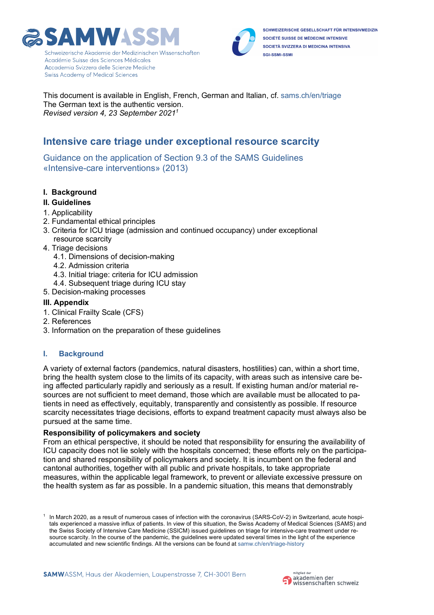



SCHWEIZERISCHE GESELLSCHAFT FÜR INTENSIVMEDIZIN SOCIÉTÉ SUISSE DE MÉDECINE INTENSIVE SOCIETÀ SVIZZERA DI MEDICINA INTENSIVA SGI-SSMI-SSMI

This document is available in English, French, German and Italian, cf. [sams.ch/en/triage](https://www.sams.ch/en/Ethics/Topics-A-to-Z/Intensive-care-medicine.html) The German text is the authentic version. *Revised version 4, 23 September 20211*

# **Intensive care triage under exceptional resource scarcity**

Guidance on the application of Section 9.3 of the SAMS Guidelines «Intensive-care interventions» (2013)

- **I. Background**
- **II. Guidelines**
- 1. Applicability
- 2. Fundamental ethical principles
- 3. Criteria for ICU triage (admission and continued occupancy) under exceptional resource scarcity
- 4. Triage decisions
	- 4.1. Dimensions of decision-making
	- 4.2. Admission criteria
	- 4.3. Initial triage: criteria for ICU admission
	- 4.4. Subsequent triage during ICU stay
- 5. Decision-making processes

# **III. Appendix**

- 1. Clinical Frailty Scale (CFS)
- 2. References
- 3. Information on the preparation of these guidelines

# **I. Background**

A variety of external factors (pandemics, natural disasters, hostilities) can, within a short time, bring the health system close to the limits of its capacity, with areas such as intensive care being affected particularly rapidly and seriously as a result. If existing human and/or material resources are not sufficient to meet demand, those which are available must be allocated to patients in need as effectively, equitably, transparently and consistently as possible. If resource scarcity necessitates triage decisions, efforts to expand treatment capacity must always also be pursued at the same time.

# **Responsibility of policymakers and society**

From an ethical perspective, it should be noted that responsibility for ensuring the availability of ICU capacity does not lie solely with the hospitals concerned; these efforts rely on the participation and shared responsibility of policymakers and society. It is incumbent on the federal and cantonal authorities, together with all public and private hospitals, to take appropriate measures, within the applicable legal framework, to prevent or alleviate excessive pressure on the health system as far as possible. In a pandemic situation, this means that demonstrably



In March 2020, as a result of numerous cases of infection with the coronavirus (SARS-CoV-2) in Switzerland, acute hospitals experienced a massive influx of patients. In view of this situation, the Swiss Academy of Medical Sciences (SAMS) and the Swiss Society of Intensive Care Medicine (SSICM) issued guidelines on triage for intensive-care treatment under resource scarcity. In the course of the pandemic, the guidelines were updated several times in the light of the experience accumulated and new scientific findings. All the versions can be found at [samw.ch/en/triage-history](https://www.samw.ch/en/Ethics/Topics-A-to-Z/Intensive-care-medicine/Triage-in-case-of-bottlenecks-chronology.html)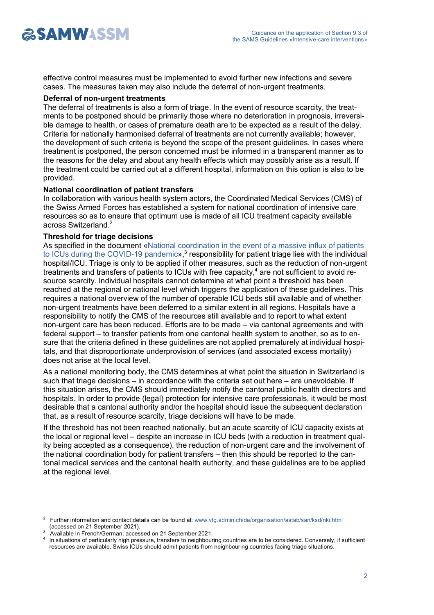

effective control measures must be implemented to avoid further new infections and severe cases. The measures taken may also include the deferral of non-urgent treatments.

#### **Deferral of non-urgent treatments**

The deferral of treatments is also a form of triage. In the event of resource scarcity, the treatments to be postponed should be primarily those where no deterioration in prognosis, irreversible damage to health, or cases of premature death are to be expected as a result of the delay. Criteria for nationally harmonised deferral of treatments are not currently available; however, the development of such criteria is beyond the scope of the present guidelines. In cases where treatment is postponed, the person concerned must be informed in a transparent manner as to the reasons for the delay and about any health effects which may possibly arise as a result. If the treatment could be carried out at a different hospital, information on this option is also to be provided.

#### **National coordination of patient transfers**

In collaboration with various health system actors, the Coordinated Medical Services (CMS) of the Swiss Armed Forces has established a system for national coordination of intensive care resources so as to ensure that optimum use is made of all ICU treatment capacity available across Switzerland.2

# **Threshold for triage decisions**

As specified in the document [«National coordination in the event of a massive influx of patients](https://www.vtg.admin.ch/content/vtg-internet/de/organisation/astab/san/ksd/nki/_jcr_content/contentPar/downloadlist/downloadItems/58_1603981191960.download/Nationale Koordination bei massivem Zustrom von Patienten in Intensivstationen_II.pdf)  to ICUs during the COVID-19 pandemic»,<sup>3</sup> responsibility for patient triage lies with the individual hospital/ICU. Triage is only to be applied if other measures, such as the reduction of non-urgent treatments and transfers of patients to ICUs with free capacity, <sup>4</sup> are not sufficient to avoid resource scarcity. Individual hospitals cannot determine at what point a threshold has been reached at the regional or national level which triggers the application of these guidelines. This requires a national overview of the number of operable ICU beds still available and of whether non-urgent treatments have been deferred to a similar extent in all regions. Hospitals have a responsibility to notify the CMS of the resources still available and to report to what extent non-urgent care has been reduced. Efforts are to be made – via cantonal agreements and with federal support – to transfer patients from one cantonal health system to another, so as to ensure that the criteria defined in these guidelines are not applied prematurely at individual hospitals, and that disproportionate underprovision of services (and associated excess mortality) does not arise at the local level.

As a national monitoring body, the CMS determines at what point the situation in Switzerland is such that triage decisions – in accordance with the criteria set out here – are unavoidable. If this situation arises, the CMS should immediately notify the cantonal public health directors and hospitals. In order to provide (legal) protection for intensive care professionals, it would be most desirable that a cantonal authority and/or the hospital should issue the subsequent declaration that, as a result of resource scarcity, triage decisions will have to be made.

If the threshold has not been reached nationally, but an acute scarcity of ICU capacity exists at the local or regional level – despite an increase in ICU beds (with a reduction in treatment quality being accepted as a consequence), the reduction of non-urgent care and the involvement of the national coordination body for patient transfers – then this should be reported to the cantonal medical services and the cantonal health authority, and these guidelines are to be applied at the regional level.

<sup>&</sup>lt;sup>2</sup> Further information and contact details can be found at: [www.vtg.admin.ch/de/organisation/astab/san/ksd/nki.html](https://www.vtg.admin.ch/de/organisation/astab/san/ksd/nki.html) (accessed on 21 September 2021).

<sup>3</sup> Available in French/German; accessed on 21 September 2021.

In situations of particularly high pressure, transfers to neighbouring countries are to be considered. Conversely, if sufficient resources are available, Swiss ICUs should admit patients from neighbouring countries facing triage situations.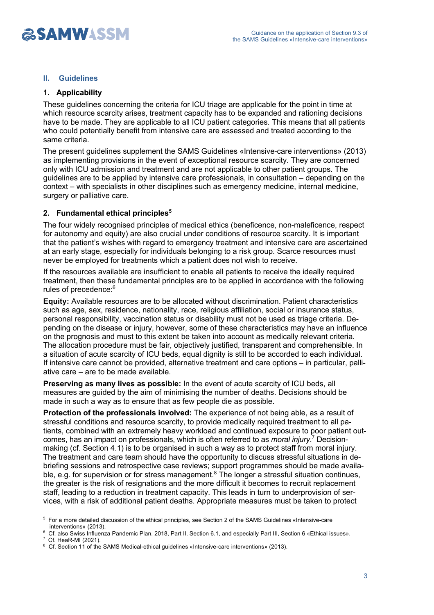

# **II. Guidelines**

# **1. Applicability**

These guidelines concerning the criteria for ICU triage are applicable for the point in time at which resource scarcity arises, treatment capacity has to be expanded and rationing decisions have to be made. They are applicable to all ICU patient categories. This means that all patients who could potentially benefit from intensive care are assessed and treated according to the same criteria.

The present guidelines supplement the SAMS Guidelines «Intensive-care interventions» (2013) as implementing provisions in the event of exceptional resource scarcity. They are concerned only with ICU admission and treatment and are not applicable to other patient groups. The guidelines are to be applied by intensive care professionals, in consultation – depending on the context – with specialists in other disciplines such as emergency medicine, internal medicine, surgery or palliative care.

# **2. Fundamental ethical principles5**

The four widely recognised principles of medical ethics (beneficence, non-maleficence, respect for autonomy and equity) are also crucial under conditions of resource scarcity. It is important that the patient's wishes with regard to emergency treatment and intensive care are ascertained at an early stage, especially for individuals belonging to a risk group. Scarce resources must never be employed for treatments which a patient does not wish to receive.

If the resources available are insufficient to enable all patients to receive the ideally required treatment, then these fundamental principles are to be applied in accordance with the following rules of precedence:<sup>6</sup>

**Equity:** Available resources are to be allocated without discrimination. Patient characteristics such as age, sex, residence, nationality, race, religious affiliation, social or insurance status, personal responsibility, vaccination status or disability must not be used as triage criteria. Depending on the disease or injury, however, some of these characteristics may have an influence on the prognosis and must to this extent be taken into account as medically relevant criteria. The allocation procedure must be fair, objectively justified, transparent and comprehensible. In a situation of acute scarcity of ICU beds, equal dignity is still to be accorded to each individual. If intensive care cannot be provided, alternative treatment and care options – in particular, palliative care – are to be made available.

**Preserving as many lives as possible:** In the event of acute scarcity of ICU beds, all measures are guided by the aim of minimising the number of deaths. Decisions should be made in such a way as to ensure that as few people die as possible.

**Protection of the professionals involved:** The experience of not being able, as a result of stressful conditions and resource scarcity, to provide medically required treatment to all patients, combined with an extremely heavy workload and continued exposure to poor patient outcomes, has an impact on professionals, which is often referred to as *moral injury*. <sup>7</sup> Decisionmaking (cf. Section 4.1) is to be organised in such a way as to protect staff from moral injury. The treatment and care team should have the opportunity to discuss stressful situations in debriefing sessions and retrospective case reviews; support programmes should be made available, e.g. for supervision or for stress management.<sup>8</sup> The longer a stressful situation continues, the greater is the risk of resignations and the more difficult it becomes to recruit replacement staff, leading to a reduction in treatment capacity. This leads in turn to underprovision of services, with a risk of additional patient deaths. Appropriate measures must be taken to protect

<sup>5</sup> For a more detailed discussion of the ethical principles, see Section 2 of the SAMS Guidelines «Intensive-care interventions» (2013).

<sup>6</sup> Cf. also Swiss Influenza Pandemic Plan, 2018, Part II, Section 6.1, and especially Part III, Section 6 «Ethical issues». 7 Cf. HeaR-MI (2021).

<sup>&</sup>lt;sup>8</sup> Cf. Section 11 of the SAMS Medical-ethical guidelines «Intensive-care interventions» (2013).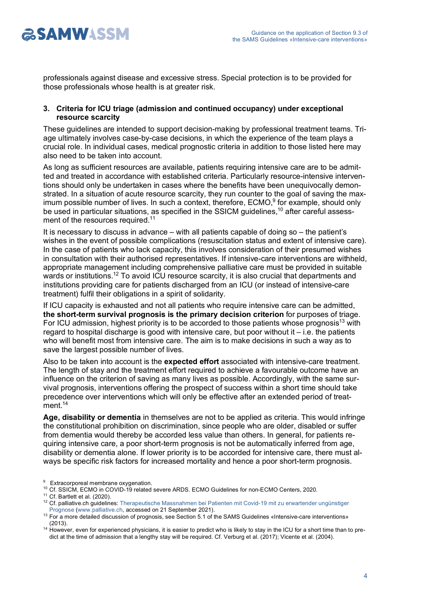

professionals against disease and excessive stress. Special protection is to be provided for those professionals whose health is at greater risk.

# **3. Criteria for ICU triage (admission and continued occupancy) under exceptional resource scarcity**

These guidelines are intended to support decision-making by professional treatment teams. Triage ultimately involves case-by-case decisions, in which the experience of the team plays a crucial role. In individual cases, medical prognostic criteria in addition to those listed here may also need to be taken into account.

As long as sufficient resources are available, patients requiring intensive care are to be admitted and treated in accordance with established criteria. Particularly resource-intensive interventions should only be undertaken in cases where the benefits have been unequivocally demonstrated. In a situation of acute resource scarcity, they run counter to the goal of saving the maximum possible number of lives. In such a context, therefore, ECMO,<sup>9</sup> for example, should only be used in particular situations, as specified in the SSICM guidelines,<sup>10</sup> after careful assessment of the resources required.<sup>11</sup>

It is necessary to discuss in advance – with all patients capable of doing so – the patient's wishes in the event of possible complications (resuscitation status and extent of intensive care). In the case of patients who lack capacity, this involves consideration of their presumed wishes in consultation with their authorised representatives. If intensive-care interventions are withheld, appropriate management including comprehensive palliative care must be provided in suitable wards or institutions.<sup>12</sup> To avoid ICU resource scarcity, it is also crucial that departments and institutions providing care for patients discharged from an ICU (or instead of intensive-care treatment) fulfil their obligations in a spirit of solidarity.

If ICU capacity is exhausted and not all patients who require intensive care can be admitted, **the short-term survival prognosis is the primary decision criterion** for purposes of triage. For ICU admission, highest priority is to be accorded to those patients whose prognosis<sup>13</sup> with regard to hospital discharge is good with intensive care, but poor without it  $-$  i.e. the patients who will benefit most from intensive care. The aim is to make decisions in such a way as to save the largest possible number of lives.

Also to be taken into account is the **expected effort** associated with intensive-care treatment. The length of stay and the treatment effort required to achieve a favourable outcome have an influence on the criterion of saving as many lives as possible. Accordingly, with the same survival prognosis, interventions offering the prospect of success within a short time should take precedence over interventions which will only be effective after an extended period of treatment.<sup>14</sup>

**Age, disability or dementia** in themselves are not to be applied as criteria. This would infringe the constitutional prohibition on discrimination, since people who are older, disabled or suffer from dementia would thereby be accorded less value than others. In general, for patients requiring intensive care, a poor short-term prognosis is not be automatically inferred from age, disability or dementia alone. If lower priority is to be accorded for intensive care, there must always be specific risk factors for increased mortality and hence a poor short-term prognosis.

- <sup>9</sup> Extracorporeal membrane oxygenation.
- <sup>10</sup> Cf. SSICM, ECMO in COVID-19 related severe ARDS. ECMO Guidelines for non-ECMO Centers, 2020.
- $11$  Cf. Bartlett et al. (2020).
- <sup>12</sup> Cf. palliative.ch guidelines: [Therapeutische Massnahmen bei Patienten mit Covid-19 mit zu erwartender ungünstiger](https://www.palliative.ch/fileadmin/user_upload/palliative/fachwelt/C_Fachgesellschaft/Task_Forces/Merkblatt_Therapeutische_Massnahmen_bei_Patienten_mit_Convid-19_2.pdf)  [Prognose](https://www.palliative.ch/fileadmin/user_upload/palliative/fachwelt/C_Fachgesellschaft/Task_Forces/Merkblatt_Therapeutische_Massnahmen_bei_Patienten_mit_Convid-19_2.pdf) ([www.palliative.ch](https://www.palliative.ch/de/palliative-ch/), accessed on 21 September 2021).

<sup>13</sup> For a more detailed discussion of prognosis, see Section 5.1 of the SAMS Guidelines «Intensive-care interventions» (2013).

<sup>&</sup>lt;sup>14</sup> However, even for experienced physicians, it is easier to predict who is likely to stay in the ICU for a short time than to predict at the time of admission that a lengthy stay will be required. Cf. Verburg et al. (2017); Vicente et al. (2004).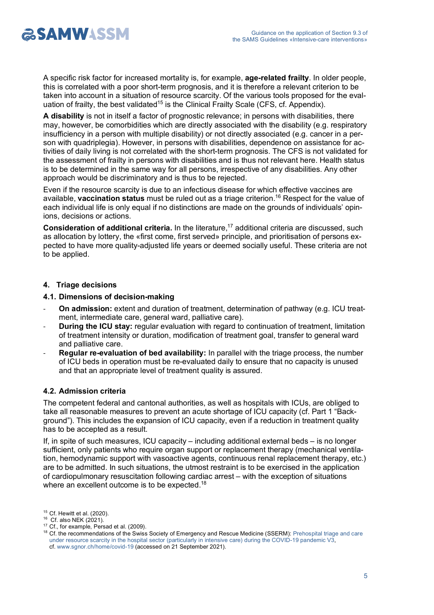

A specific risk factor for increased mortality is, for example, **age-related frailty**. In older people, this is correlated with a poor short-term prognosis, and it is therefore a relevant criterion to be taken into account in a situation of resource scarcity. Of the various tools proposed for the evaluation of frailty, the best validated<sup>15</sup> is the Clinical Frailty Scale (CFS, cf. Appendix).

**A disability** is not in itself a factor of prognostic relevance; in persons with disabilities, there may, however, be comorbidities which are directly associated with the disability (e.g. respiratory insufficiency in a person with multiple disability) or not directly associated (e.g. cancer in a person with quadriplegia). However, in persons with disabilities, dependence on assistance for activities of daily living is not correlated with the short-term prognosis. The CFS is not validated for the assessment of frailty in persons with disabilities and is thus not relevant here. Health status is to be determined in the same way for all persons, irrespective of any disabilities. Any other approach would be discriminatory and is thus to be rejected.

Even if the resource scarcity is due to an infectious disease for which effective vaccines are available, **vaccination status** must be ruled out as a triage criterion.16 Respect for the value of each individual life is only equal if no distinctions are made on the grounds of individuals' opinions, decisions or actions.

**Consideration of additional criteria.** In the literature,<sup>17</sup> additional criteria are discussed, such as allocation by lottery, the «first come, first served» principle, and prioritisation of persons expected to have more quality-adjusted life years or deemed socially useful. These criteria are not to be applied.

# **4. Triage decisions**

# **4.1. Dimensions of decision-making**

- **On admission:** extent and duration of treatment, determination of pathway (e.g. ICU treatment, intermediate care, general ward, palliative care).
- **During the ICU stay:** regular evaluation with regard to continuation of treatment, limitation of treatment intensity or duration, modification of treatment goal, transfer to general ward and palliative care.
- **Regular re-evaluation of bed availability:** In parallel with the triage process, the number of ICU beds in operation must be re-evaluated daily to ensure that no capacity is unused and that an appropriate level of treatment quality is assured.

# **4.2. Admission criteria**

The competent federal and cantonal authorities, as well as hospitals with ICUs, are obliged to take all reasonable measures to prevent an acute shortage of ICU capacity (cf. Part 1 "Background"). This includes the expansion of ICU capacity, even if a reduction in treatment quality has to be accepted as a result.

If, in spite of such measures, ICU capacity – including additional external beds – is no longer sufficient, only patients who require organ support or replacement therapy (mechanical ventilation, hemodynamic support with vasoactive agents, continuous renal replacement therapy, etc.) are to be admitted. In such situations, the utmost restraint is to be exercised in the application of cardiopulmonary resuscitation following cardiac arrest – with the exception of situations where an excellent outcome is to be expected.<sup>18</sup>

<sup>17</sup> Cf., for example, Persad et al. (2009).

<sup>15</sup> Cf. Hewitt et al. (2020).

<sup>16</sup> Cf. also NEK (2021).

<sup>&</sup>lt;sup>18</sup> Cf. the recommendations of the Swiss Society of Emergency and Rescue Medicine (SSERM): Prehospital triage and care [under resource scarcity in the hospital sector \(particularly in intensive care\) during the COVID-19 pandemic](https://www.sgnor.ch/fileadmin/user_upload/Dokumente/SGNOR-Empfehlung_COVID19-Triage_V3.0-EN_20201118.pdf) V3, cf. [www.sgnor.ch/home/covid-19](https://www.sgnor.ch/covid-19/) (accessed on 21 September 2021).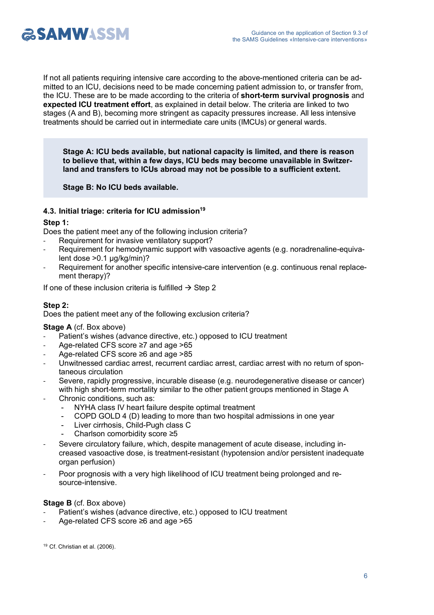

If not all patients requiring intensive care according to the above-mentioned criteria can be admitted to an ICU, decisions need to be made concerning patient admission to, or transfer from, the ICU. These are to be made according to the criteria of **short-term survival prognosis** and **expected ICU treatment effort**, as explained in detail below. The criteria are linked to two stages (A and B), becoming more stringent as capacity pressures increase. All less intensive treatments should be carried out in intermediate care units (IMCUs) or general wards.

**Stage A: ICU beds available, but national capacity is limited, and there is reason to believe that, within a few days, ICU beds may become unavailable in Switzerland and transfers to ICUs abroad may not be possible to a sufficient extent.**

**Stage B: No ICU beds available.**

# **4.3. Initial triage: criteria for ICU admission19**

# **Step 1:**

Does the patient meet any of the following inclusion criteria?

- Requirement for invasive ventilatory support?
- Requirement for hemodynamic support with vasoactive agents (e.g. noradrenaline-equivalent dose >0.1 µg/kg/min)?
- Requirement for another specific intensive-care intervention (e.g. continuous renal replacement therapy)?

If one of these inclusion criteria is fulfilled  $\rightarrow$  Step 2

# **Step 2:**

Does the patient meet any of the following exclusion criteria?

# **Stage A** (cf. Box above)

- Patient's wishes (advance directive, etc.) opposed to ICU treatment
- Age-related CFS score ≥7 and age >65
- Age-related CFS score ≥6 and age >85
- Unwitnessed cardiac arrest, recurrent cardiac arrest, cardiac arrest with no return of spontaneous circulation
- Severe, rapidly progressive, incurable disease (e.g. neurodegenerative disease or cancer) with high short-term mortality similar to the other patient groups mentioned in Stage A
- Chronic conditions, such as:
	- NYHA class IV heart failure despite optimal treatment
		- COPD GOLD 4 (D) leading to more than two hospital admissions in one year
		- Liver cirrhosis, Child-Pugh class C
		- Charlson comorbidity score ≥5
- Severe circulatory failure, which, despite management of acute disease, including increased vasoactive dose, is treatment-resistant (hypotension and/or persistent inadequate organ perfusion)
- Poor prognosis with a very high likelihood of ICU treatment being prolonged and resource-intensive.

# **Stage B** (cf. Box above)

- Patient's wishes (advance directive, etc.) opposed to ICU treatment
- Age-related CFS score ≥6 and age >65

<sup>19</sup> Cf. Christian et al. (2006).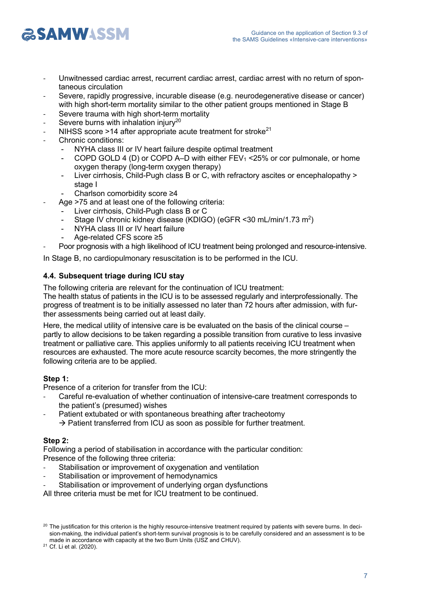

- Unwitnessed cardiac arrest, recurrent cardiac arrest, cardiac arrest with no return of spontaneous circulation
- Severe, rapidly progressive, incurable disease (e.g. neurodegenerative disease or cancer) with high short-term mortality similar to the other patient groups mentioned in Stage B
- Severe trauma with high short-term mortality
- Severe burns with inhalation injury<sup>20</sup>
- NIHSS score >14 after appropriate acute treatment for stroke<sup>21</sup>
- Chronic conditions:
	- NYHA class III or IV heart failure despite optimal treatment
	- COPD GOLD 4 (D) or COPD A–D with either FEV1 <25% or cor pulmonale, or home oxygen therapy (long-term oxygen therapy)
	- Liver cirrhosis, Child-Pugh class B or C, with refractory ascites or encephalopathy > stage I
	- Charlson comorbidity score ≥4
	- Age >75 and at least one of the following criteria:
	- Liver cirrhosis, Child-Pugh class B or C
		- Stage IV chronic kidney disease (KDIGO) (eGFR < 30 mL/min/1.73 m<sup>2</sup>)
		- NYHA class III or IV heart failure
		- Age-related CFS score ≥5
- Poor prognosis with a high likelihood of ICU treatment being prolonged and resource-intensive.

In Stage B, no cardiopulmonary resuscitation is to be performed in the ICU.

# **4.4. Subsequent triage during ICU stay**

The following criteria are relevant for the continuation of ICU treatment:

The health status of patients in the ICU is to be assessed regularly and interprofessionally. The progress of treatment is to be initially assessed no later than 72 hours after admission, with further assessments being carried out at least daily.

Here, the medical utility of intensive care is be evaluated on the basis of the clinical course – partly to allow decisions to be taken regarding a possible transition from curative to less invasive treatment or palliative care. This applies uniformly to all patients receiving ICU treatment when resources are exhausted. The more acute resource scarcity becomes, the more stringently the following criteria are to be applied.

# **Step 1:**

Presence of a criterion for transfer from the ICU:

- Careful re-evaluation of whether continuation of intensive-care treatment corresponds to the patient's (presumed) wishes
- Patient extubated or with spontaneous breathing after tracheotomy  $\rightarrow$  Patient transferred from ICU as soon as possible for further treatment.

# **Step 2:**

Following a period of stabilisation in accordance with the particular condition: Presence of the following three criteria:

- Stabilisation or improvement of oxygenation and ventilation
- Stabilisation or improvement of hemodynamics
- Stabilisation or improvement of underlying organ dysfunctions
- All three criteria must be met for ICU treatment to be continued.

<sup>21</sup> Cf. Li et al. (2020).

<sup>&</sup>lt;sup>20</sup> The justification for this criterion is the highly resource-intensive treatment required by patients with severe burns. In decision-making, the individual patient's short-term survival prognosis is to be carefully considered and an assessment is to be made in accordance with capacity at the two Burn Units (USZ and CHUV).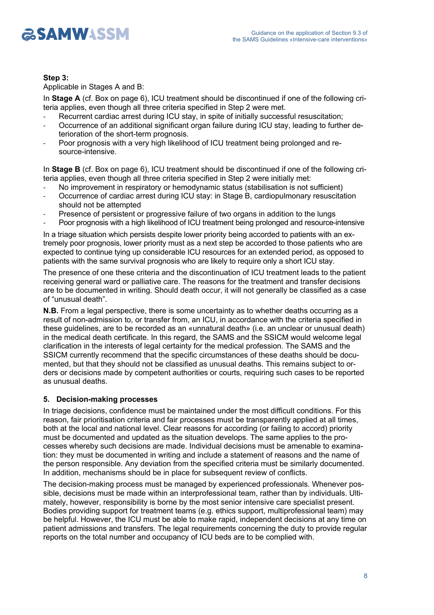

# **Step 3:**

Applicable in Stages A and B:

In **Stage A** (cf. Box on page 6), ICU treatment should be discontinued if one of the following criteria applies, even though all three criteria specified in Step 2 were met.

- Recurrent cardiac arrest during ICU stay, in spite of initially successful resuscitation;
- Occurrence of an additional significant organ failure during ICU stay, leading to further deterioration of the short-term prognosis.
- Poor prognosis with a very high likelihood of ICU treatment being prolonged and resource-intensive.

In **Stage B** (cf. Box on page 6), ICU treatment should be discontinued if one of the following criteria applies, even though all three criteria specified in Step 2 were initially met:

- No improvement in respiratory or hemodynamic status (stabilisation is not sufficient)
- Occurrence of cardiac arrest during ICU stay: in Stage B, cardiopulmonary resuscitation should not be attempted
- Presence of persistent or progressive failure of two organs in addition to the lungs
- Poor prognosis with a high likelihood of ICU treatment being prolonged and resource-intensive

In a triage situation which persists despite lower priority being accorded to patients with an extremely poor prognosis, lower priority must as a next step be accorded to those patients who are expected to continue tying up considerable ICU resources for an extended period, as opposed to patients with the same survival prognosis who are likely to require only a short ICU stay.

The presence of one these criteria and the discontinuation of ICU treatment leads to the patient receiving general ward or palliative care. The reasons for the treatment and transfer decisions are to be documented in writing. Should death occur, it will not generally be classified as a case of "unusual death".

**N.B.** From a legal perspective, there is some uncertainty as to whether deaths occurring as a result of non-admission to, or transfer from, an ICU, in accordance with the criteria specified in these guidelines, are to be recorded as an «unnatural death» (i.e. an unclear or unusual death) in the medical death certificate. In this regard, the SAMS and the SSICM would welcome legal clarification in the interests of legal certainty for the medical profession. The SAMS and the SSICM currently recommend that the specific circumstances of these deaths should be documented, but that they should not be classified as unusual deaths. This remains subject to orders or decisions made by competent authorities or courts, requiring such cases to be reported as unusual deaths.

# **5. Decision-making processes**

In triage decisions, confidence must be maintained under the most difficult conditions. For this reason, fair prioritisation criteria and fair processes must be transparently applied at all times, both at the local and national level. Clear reasons for according (or failing to accord) priority must be documented and updated as the situation develops. The same applies to the processes whereby such decisions are made. Individual decisions must be amenable to examination: they must be documented in writing and include a statement of reasons and the name of the person responsible. Any deviation from the specified criteria must be similarly documented. In addition, mechanisms should be in place for subsequent review of conflicts.

The decision-making process must be managed by experienced professionals. Whenever possible, decisions must be made within an interprofessional team, rather than by individuals. Ultimately, however, responsibility is borne by the most senior intensive care specialist present. Bodies providing support for treatment teams (e.g. ethics support, multiprofessional team) may be helpful. However, the ICU must be able to make rapid, independent decisions at any time on patient admissions and transfers. The legal requirements concerning the duty to provide regular reports on the total number and occupancy of ICU beds are to be complied with.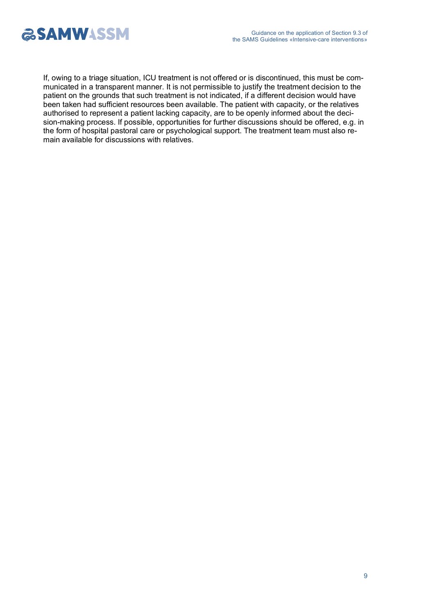

If, owing to a triage situation, ICU treatment is not offered or is discontinued, this must be communicated in a transparent manner. It is not permissible to justify the treatment decision to the patient on the grounds that such treatment is not indicated, if a different decision would have been taken had sufficient resources been available. The patient with capacity, or the relatives authorised to represent a patient lacking capacity, are to be openly informed about the decision-making process. If possible, opportunities for further discussions should be offered, e.g. in the form of hospital pastoral care or psychological support. The treatment team must also remain available for discussions with relatives.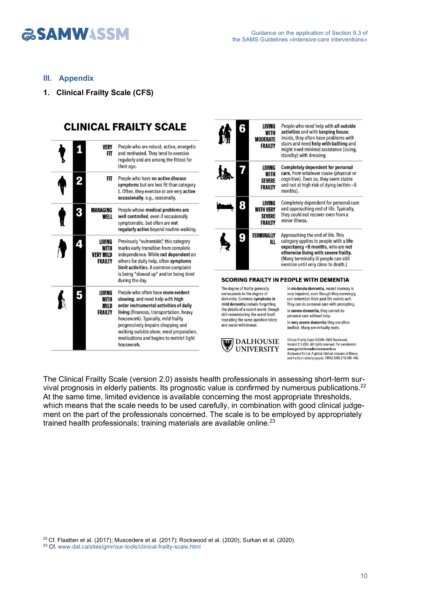# **ESAMWASSM**

# **III. Appendix**

**1. Clinical Frailty Scale (CFS)**

|   | <b>VERY</b><br><b>FIT</b>                                   | People who are robust, active, energetic<br>and motivated. They tend to exercise                                                                                                                                                                                                                                                               |
|---|-------------------------------------------------------------|------------------------------------------------------------------------------------------------------------------------------------------------------------------------------------------------------------------------------------------------------------------------------------------------------------------------------------------------|
|   |                                                             | regularly and are among the fittest for<br>their age.                                                                                                                                                                                                                                                                                          |
|   | FIT                                                         | People who have no active disease<br>symptoms but are less fit than category<br>1. Often, they exercise or are very active<br>occasionally, e.g., seasonally.                                                                                                                                                                                  |
| 3 | MANAGING<br>WFLL                                            | People whose medical problems are<br>well controlled, even if occasionally<br>symptomatic, but often are not<br>regularly active beyond routine walking.                                                                                                                                                                                       |
|   | LIVING<br><b>WITH</b><br><b>VERY MILD</b><br><b>FRAILTY</b> | Previously "vulnerable," this category<br>marks early transition from complete<br>independence. While not dependent on<br>others for daily help, often symptoms<br>limit activities. A common complaint<br>is being "slowed up" and/or being tired<br>during the day.                                                                          |
|   | LIVING<br><b>WITH</b><br>MILD<br><b>FRAILTY</b>             | People who often have more evident<br>slowing, and need help with high<br>order instrumental activities of daily<br>living (finances, transportation, heavy<br>housework). Typically, mild frailty<br>progressively impairs shopping and<br>walking outside alone, meal preparation,<br>medications and begins to restrict light<br>housework. |

| LIVING<br>6<br>WITH<br>MODERATE<br><b>FRAILTY</b>                                                                                   | People who need help with all outside<br>activities and with keeping house.<br>Inside, they often have problems with<br>stairs and need help with bathing and<br>might need minimal assistance (cuing,<br>standby) with dressing.          |
|-------------------------------------------------------------------------------------------------------------------------------------|--------------------------------------------------------------------------------------------------------------------------------------------------------------------------------------------------------------------------------------------|
| LIVING<br><b>WITH</b><br><b>SEVERE</b><br><b>FRAILTY</b>                                                                            | Completely dependent for personal<br>care, from whatever cause (physical or<br>cognitive). Even so, they seem stable<br>and not at high risk of dying (within $\nu$ 6<br>months).                                                          |
| LIVING<br><b>WITH VERY</b><br><b>SEVERE</b><br>FRAILTY                                                                              | Completely dependent for personal care<br>and approaching end of life. Typically,<br>they could not recover even from a<br>minor illness.                                                                                                  |
| TERMINALLY<br>ш                                                                                                                     | Approaching the end of life. This<br>category applies to people with a life<br>expectancy <6 months, who are not<br>otherwise living with severe frailty.<br>(Many terminally ill people can still<br>exercise until very close to death.) |
|                                                                                                                                     | <b>SCORING FRAILTY IN PEOPLE WITH DEMENTIA</b>                                                                                                                                                                                             |
| The degree of frailty generally<br>corresponds to the degree of<br>dementia. Common symptoms in<br>mild dementia include forgetting | In moderate dementia, recent memory is<br>very impaired, even though they seemingly<br>can remember their past life events well.<br>They can do personal care with prompting.                                                              |

mild dementia include forgetting the details of a recent event, though<br>still remembering the event itself, repeating the same question/story<br>and social withdrawal.



In severe dementia, they cannot do personal care without help. In very severe dementia they are often bedfast. Many are virtually mute. Clinical Frailty Scale @2005-2020 Rockwood.

University 2.0 (EN). All rights reserved. For permission:<br>Version 2.0 (EN). All rights reserved. For permission:<br>Rockwood K et al. A global clinical measure of fitness<br>and frailty in elderly people. CMAJ 2005;173:489-495.

The Clinical Frailty Scale (version 2.0) assists health professionals in assessing short-term survival prognosis in elderly patients. Its prognostic value is confirmed by numerous publications.<sup>22</sup> At the same time, limited evidence is available concerning the most appropriate thresholds, which means that the scale needs to be used carefully, in combination with good clinical judgement on the part of the professionals concerned. The scale is to be employed by appropriately trained health professionals; training materials are available online.<sup>23</sup>

 $22$  Cf. Flaatten et al. (2017); Muscedere et al. (2017); Rockwood et al. (2020); Surkan et al. (2020).

<sup>23</sup> Cf. [www.dal.ca/sites/gmr/our-tools/clinical-frailty-scale.html](https://www.dal.ca/sites/gmr/our-tools/clinical-frailty-scale.html)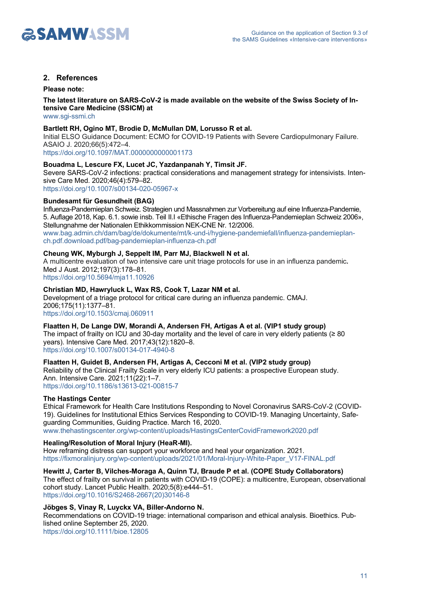

# **2. References**

**Please note:** 

**The latest literature on SARS-CoV-2 is made available on the website of the Swiss Society of Intensive Care Medicine (SSICM) at**

[www.sgi-ssmi.ch](https://www.sgi-ssmi.ch/de/)

#### **Bartlett RH, Ogino MT, Brodie D, McMullan DM, Lorusso R et al.**

Initial ELSO Guidance Document: ECMO for COVID-19 Patients with Severe Cardiopulmonary Failure. ASAIO J. 2020;66(5):472–4.

[https://doi.org/10.1097/MAT.0000000000001173](https://journals.lww.com/asaiojournal/Fulltext/2020/05000/Initial_ELSO_Guidance_Document__ECMO_for_COVID_19.3.aspx)

#### **Bouadma L, Lescure FX, Lucet JC, Yazdanpanah Y, Timsit JF.**

Severe SARS-CoV-2 infections: practical considerations and management strategy for intensivists. Intensive Care Med. 2020;46(4):579–82.

<https://doi.org/10.1007/s00134-020-05967-x>

## **Bundesamt für Gesundheit (BAG)**

Influenza-Pandemieplan Schweiz. Strategien und Massnahmen zur Vorbereitung auf eine Influenza-Pandemie, 5. Auflage 2018, Kap. 6.1. sowie insb. Teil II.I «Ethische Fragen des Influenza-Pandemieplan Schweiz 2006», Stellungnahme der Nationalen Ethikkommission NEK-CNE Nr. 12/2006. [www.bag.admin.ch/dam/bag/de/dokumente/mt/k-und-i/hygiene-pandemiefall/influenza-pandemieplan](http://www.bag.admin.ch/dam/bag/de/dokumente/mt/k-und-i/hygiene-pandemiefall/influenza-pandemieplan-ch.pdf.download.pdf/bag-pandemieplan-influenza-ch.pdf)ch.pdf.download.pdf/bag-pandemieplan-influenza-ch.pdf

#### **Cheung WK, Myburgh J, Seppelt IM, Parr MJ, Blackwell N et al.**

A multicentre evaluation of two intensive care unit triage protocols for use in an influenza pandemic**.**  Med J Aust. 2012;197(3):178–81.

<https://doi.org/10.5694/mja11.10926>

## **Christian MD, Hawryluck L, Wax RS, Cook T, Lazar NM et al.**

Development of a triage protocol for critical care during an influenza pandemic. CMAJ. 2006;175(11):1377–81. <https://doi.org/10.1503/cmaj.060911>

#### **Flaatten H, De Lange DW, Morandi A, Andersen FH, Artigas A et al. (VIP1 study group)**

The impact of frailty on ICU and 30-day mortality and the level of care in very elderly patients (≥ 80 years). Intensive Care Med. 2017;43(12):1820–8.

<https://doi.org/10.1007/s00134-017-4940-8>

# **Flaatten H, Guidet B, Andersen FH, Artigas A, Cecconi M et al. (VIP2 study group)**

Reliability of the Clinical Frailty Scale in very elderly ICU patients: a prospective European study. Ann. Intensive Care. 2021;11(22):1–7. [https://doi.org/10.1186/s13613-021-00815-7](https://annalsofintensivecare.springeropen.com/articles/10.1186/s13613-021-00815-7)

#### **The Hastings Center**

Ethical Framework for Health Care Institutions Responding to Novel Coronavirus SARS-CoV-2 (COVID-19). Guidelines for Institutional Ethics Services Responding to COVID-19. Managing Uncertainty, Safeguarding Communities, Guiding Practice. March 16, 2020. [www.thehastingscenter.org/wp-content/uploads/HastingsCenterCovidFramework2020.pdf](http://www.thehastingscenter.org/wp-content/uploads/HastingsCenterCovidFramework2020.pdf)

#### **Healing/Resolution of Moral Injury (HeaR-MI).**

How reframing distress can support your workforce and heal your organization. 2021. [https://fixmoralinjury.org/wp-content/uploads/2021/01/Moral-Injury-White-Paper\\_V17-FINAL.pdf](https://fixmoralinjury.org/wp-content/uploads/2021/01/Moral-Injury-White-Paper_V17-FINAL.pdf)

# **Hewitt J, Carter B, Vilches-Moraga A, Quinn TJ, Braude P et al. (COPE Study Collaborators)**

The effect of frailty on survival in patients with COVID-19 (COPE): a multicentre, European, observational cohort study. Lancet Public Health. 2020;5(8):e444–51.

[https://doi.org/10.1016/S2468-2667\(20\)30146-8](https://doi.org/10.1016/S2468-2667(20)30146-8)

# **Jöbges S, Vinay R, Luyckx VA, Biller-Andorno N.**

Recommendations on COVID-19 triage: international comparison and ethical analysis. Bioethics. Published online September 25, 2020. <https://doi.org/10.1111/bioe.12805>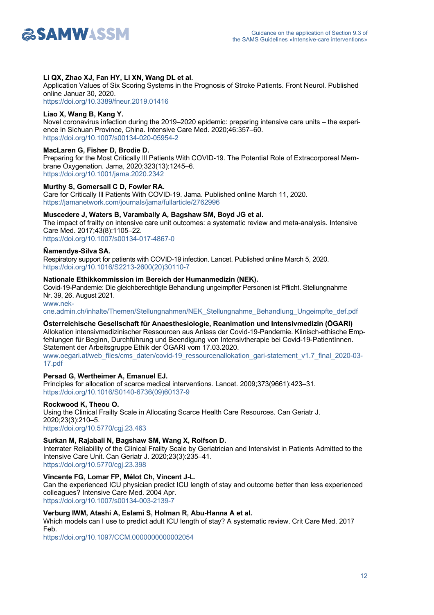

#### **Li QX, Zhao XJ, Fan HY, Li XN, Wang DL et al.**

Application Values of Six Scoring Systems in the Prognosis of Stroke Patients. Front Neurol. Published online Januar 30, 2020.

<https://doi.org/10.3389/fneur.2019.01416>

#### **Liao X, Wang B, Kang Y.**

Novel coronavirus infection during the 2019–2020 epidemic: preparing intensive care units – the experience in Sichuan Province, China. Intensive Care Med. 2020;46:357–60. <https://doi.org/10.1007/s00134-020-05954-2>

#### **MacLaren G, Fisher D, Brodie D.**

Preparing for the Most Critically Ill Patients With COVID-19. The Potential Role of Extracorporeal Membrane Oxygenation. Jama, 2020;323(13):1245–6. <https://doi.org/10.1001/jama.2020.2342>

#### **Murthy S, Gomersall C D, Fowler RA.**

Care for Critically Ill Patients With COVID-19. Jama. Published online March 11, 2020. <https://jamanetwork.com/journals/jama/fullarticle/2762996>

#### **Muscedere J, Waters B, Varambally A, Bagshaw SM, Boyd JG et al.**

The impact of frailty on intensive care unit outcomes: a systematic review and meta-analysis. Intensive Care Med. 2017;43(8):1105–22.

<https://doi.org/10.1007/s00134-017-4867-0>

# **Ñamendys-Silva SA.**

Respiratory support for patients with COVID-19 infection. Lancet. Published online March 5, 2020. [https://doi.org/10.1016/S2213-2600\(20\)30110-7](https://doi.org/10.1016/S2213-2600(20)30110-7)

#### **Nationale Ethikkommission im Bereich der Humanmedizin (NEK).**

Covid-19-Pandemie: Die gleichberechtigte Behandlung ungeimpfter Personen ist Pflicht. Stellungnahme Nr. 39, 26. August 2021.

www.nek[cne.admin.ch/inhalte/Themen/Stellungnahmen/NEK\\_Stellungnahme\\_Behandlung\\_Ungeimpfte\\_def.pdf](http://www.nek-cne.admin.ch/inhalte/Themen/Stellungnahmen/NEK_Stellungnahme_Behandlung_Ungeimpfte_def.pdf)

# **Österreichische Gesellschaft für Anaesthesiologie, Reanimation und Intensivmedizin (ÖGARI)**

Allokation intensivmedizinischer Ressourcen aus Anlass der Covid-19-Pandemie. Klinisch-ethische Empfehlungen für Beginn, Durchführung und Beendigung von Intensivtherapie bei Covid-19-PatientInnen. Statement der Arbeitsgruppe Ethik der ÖGARI vom 17.03.2020.

[www.oegari.at/web\\_files/cms\\_daten/covid-19\\_ressourcenallokation\\_gari-statement\\_v1.7\\_final\\_2020-03-](http://www.oegari.at/web_files/cms_daten/covid-19_ressourcenallokation_gari-statement_v1.7_final_2020-03-17.pdf) 17.pdf

#### **Persad G, Wertheimer A, Emanuel EJ.**

Principles for allocation of scarce medical interventions. Lancet. 2009;373(9661):423–31. [https://doi.org/10.1016/S0140-6736\(09\)60137-9](https://doi.org/10.1016/S0140-6736(09)60137-9)

#### **Rockwood K, Theou O.**

Using the Clinical Frailty Scale in Allocating Scarce Health Care Resources. Can Geriatr J. 2020;23(3):210–5. <https://doi.org/10.5770/cgj.23.463>

# **Surkan M, Rajabali N, Bagshaw SM, Wang X, Rolfson D.**

Interrater Reliability of the Clinical Frailty Scale by Geriatrician and Intensivist in Patients Admitted to the Intensive Care Unit. Can Geriatr J. 2020;23(3):235–41.

<https://doi.org/10.5770/cgj.23.398>

# **Vincente FG, Lomar FP, Mélot Ch, Vincent J-L.**

Can the experienced ICU physician predict ICU length of stay and outcome better than less experienced colleagues? Intensive Care Med. 2004 Apr. <https://doi.org/10.1007/s00134-003-2139-7>

#### **Verburg IWM, Atashi A, Eslami S, Holman R, Abu-Hanna A et al.**

Which models can I use to predict adult ICU length of stay? A systematic review. Crit Care Med. 2017 Feb.

<https://doi.org/10.1097/CCM.0000000000002054>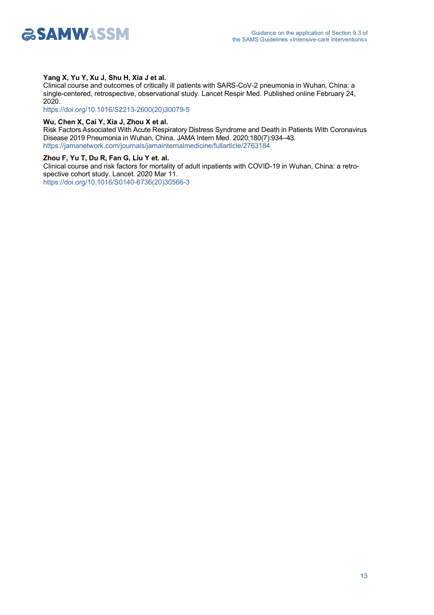

#### **Yang X, Yu Y, Xu J, Shu H, Xia J et al.**

Clinical course and outcomes of critically ill patients with SARS-CoV-2 pneumonia in Wuhan, China: a single-centered, retrospective, observational study. Lancet Respir Med. Published online February 24, 2020.

[https://doi.org/10.1016/S2213-2600\(20\)30079-5](https://doi.org/10.1016/S2213-2600(20)30079-5)

#### **Wu, Chen X, Cai Y, Xia J, Zhou X et al.**

Risk Factors Associated With Acute Respiratory Distress Syndrome and Death in Patients With Coronavirus Disease 2019 Pneumonia in Wuhan, China. JAMA Intern Med. 2020;180(7):934–43. <https://jamanetwork.com/journals/jamainternalmedicine/fullarticle/2763184>

#### **Zhou F, Yu T, Du R, Fan G, Liu Y et. al.**

Clinical course and risk factors for mortality of adult inpatients with COVID-19 in Wuhan, China: a retrospective cohort study. Lancet. 2020 Mar 11. [https://doi.org/10.1016/S0140-6736\(20\)30566-3](https://doi.org/10.1016/S0140-6736(20)30566-3)